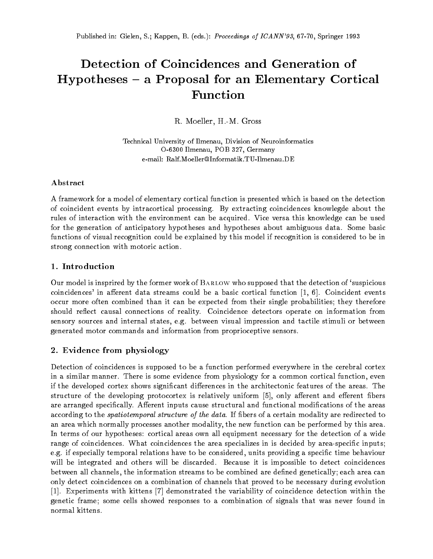# Detection of Coincidences and Generation of a a rover - a proposal for an Elementary Cortical formation of the second **Function**

I. MISSING H. MI. GISSS

Technical University of Ilmenau, Division of Neuroinformatics O-0000 Illiichau, I OD 021, Germany e-mail. Rah.Moener@miormatik.To-milenau.DE

## Abstract

A framework for a model of elementary cortical function is presented which is based on the detection of coincident events by intractional processing, by intracting coincidences and the gas about the co rules of interaction with the environment can be acquired: this this knowledge can be used for the generation of anticipatory hypotheses and hypotheses about ambiguous data- Some basic functions of visual recognition could be explained by this model if recognition is considered to be in strong connection with motoric action-

## - Introduction

Our model is insprired by the former work of BARLOW who supposed that the detection of 'suspicious coincidences in aerent data streams could be a basic cortical function  $\mathbf{I} = \mathbf{I}$ occur more often combined than it can be expected from their single probabilities; they therefore showl control theorie compositions of reality- virtuality-detectors operator on information from sensory sources and internal states e-g- between visual impression and tactile stimuli or between generated motor commands and information from proprioceptive sensors-

# - Evidence from physiology

Detection of coincidences is supposed to be a function performed everywhere in the cerebral cortex in a similar manner- There is some evidence from physiology for a common cortical function even cant dierences in the dierences significants architectonic features of the architectonic features of the architecto structure of the developing protocortex is relatively uniform only aerent and eerent 
bers are acrossing for the causes  $\mu$  -causes structural and functional modifications of the areas of the areas of according to the *spatiotemporal structure of the data*. If fibers of a certain modality are redirected to an area which normally processes another modality, the new function can be performed by this area. In terms of our hypotheses: cortical areas own all equipment necessary for the detection of a wide range of coincidences that coincidences in is decided by areaspect if iterative in iterative in iterative e-g- if especially temporal relations have to be considered units providing a speci
c time behaviour will be integrated and others will be discussed at discussed-off components of activity coincidences. between all channels, the information streams to be combined are defined genetically; each area can only detect coincidences on a combination of channels that proved to be necessary during evolution - Experiments with kittens demonstrated the variability of coincidence detection within the genetic frame; some cells showed responses to a combination of signals that was never found in normal kittens.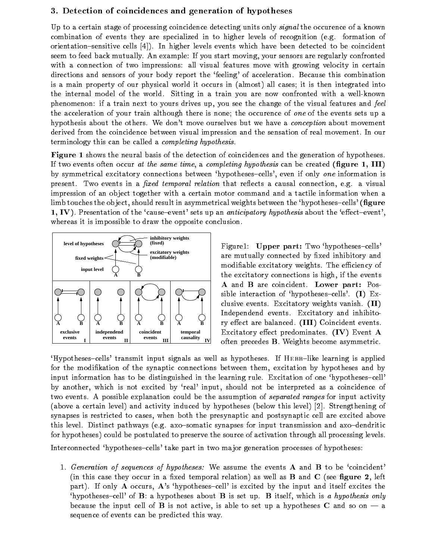### - Detection of coincidences and generation of hypotheses

Up to a certain stage of processing coincidence detecting units only *signal* the occurence of a known combination of events they are specificated in the ingenition of recognition (reg) compiled to orientationsensitive cells - In higher levels events which have been detected to be coincident seem to feed back mutually- An example If you start moving your sensors are regularly confronted with a connection of two impressions: all visual features move with growing velocity in certain directions and sensors of your body report the feeling of acceleration- Because this combination is a main property of our physical world it occurs in (almost) all cases; it is then integrated into the internal model of the world- Sitting in a train you are now confronted with a wellknown phenomenon: if a train next to yours drives up, you see the change of the visual features and feel the acceleration of your train although there is none; the occurence of one of the events sets up a hypothesis about the others- We dont move ourselves but we have a conception about movement derived from the coincidence between visual impression and the sensation of real movement- our real movementterminology this can be called a *completing hypothesis*.

Figure - shows the neural basis of the detection of coincidences and the generation of hypotheses-If two events often occur *at the same time*, a *completing hypothesis* can be created (**Hgure 1, III**) by symmetrical excitatory connections between 'hypotheses-cells', even if only one information is  $\mu$ esent. Two events in a *jused temporal relation* that relieves a causal connection, e.g. a visual impression of an object together with a certain motor command and a tactile information when a limb touches the object, should result in asymmetrical weights between the 'hypotheses-cells' (figure  $\cdots$ , IV-  $\cdots$  is the cause to the cause the compact of an anticipatory hypothesis about the effect event  $\cdots$ whereas it is impossible to draw the opposite conclusion.



Figure 1: Upper part: Two 'hypotheses-cells' are mutually connected by fixed inhibitory and modi
able excitatory weights- The eciency of the excitatory connections is high, if the events A and B are coincident- Lower part Pos sible interaction of hypotheses controlled and  $\mathbf{I}$  Experimental and  $\mathbf{I}$ clusive events: — Excited in Experiment vanishes (III) Independend events- Excitatory and inhibito ry eect are balanced- III Coincident events-Excitatory eect predominates- IV Event A often precedes B- Weights become asymmetric-

Hypothesescells transmit input signals as well as hypotheses- If Hebblike learning is applied for the modifikation of the synaptic connections between them, excitation by hypotheses and by input information has to be distinguished in the learning rule- Excitation of one hypothesescell by another, which is not excited by 'real' input, should not be interpreted as a coincidence of two events. A possible explanation could be the assumption of separated ranges for input activity , activity in activities and activity induced by hypotheses by his level  $\mathcal{L}_1$  in a college component of synapses is restricted to cases, when both the presynaptic and postsynaptic cell are excited above this level- Distinct pathways e-g- axosomatic synapses for input transmission and axodendritic for hypotheses) could be postulated to preserve the source of activation through all processing levels.

Interconnected 'hypotheses-cells' take part in two major generation processes of hypotheses:

1. Generation of sequences of hypotheses. We assume the events A and B to be coincident (in this case they occur in a fixed temporal relation) as well as  $B$  and  $C$  (see figure 2, left part- If only A occurs As hypothesescell is excited by the input and itself excites the hypotheses cell of **D**, a hypotheses about **D** is set up. **D** fiscil, which is a *hypothesis only* because the input cell of **B** is not active, is able to set up a hypotheses C and so on  $-$  a sequence of events can be predicted this way.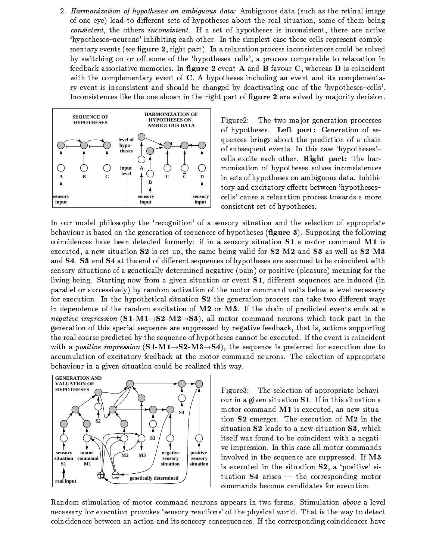$\Delta$ . The monization of hypotheses on amogaous data. Ambiguous data (such as the retinal image of one eye) lead to different sets of hypotheses about the real situation, some of them being consistent the others inconsistent. If when it hypotheses is inconsistent there wie well a hypothesesneurons inhibiting each other- In the simplest case these cells represent comple mentary events see gure right part- In a relaxation process inconsistences could be solved by switching on or off some of the 'hypotheses-cells', a process comparable to relaxation in feedback associative memories- In gure event A and B favour C whereas D is coincident with the completentary event of C-C- applications complementary and its completents. ry event is inconsistent and should be changed by deactivating one of the 'hypotheses-cells'. Inconsistences like the one shown in the right part of figure  $2$  are solved by majority decision.



Figure 2: The two major generation processes of hypotheses and part generation of service of  $\sim$ quences brings about the prediction of a chain is subsequent events. The this case of products cells cells and the control part part The Hart The Hart monization of hypotheses solves inconsistences in sets of hypotheses on ambiguous data- Inhibi tory and excitatory effects between 'hypothesescells' cause a relaxation process towards a more consistent set of hypotheses-

In our model philosophy the 'recognition' of a sensory situation and the selection of appropriate behaviour is based on the generation of the generation of the following the following the following the following the following the following the following the following the following the following the following the follow coincidences have been detected formerly if in a sensory situation S- a motor command M- is executed a new situation state is set up; the same being value for Situation as well as S is a set and S-s-so-software sequences of the end of dierent sequences are assumed to be coincident with  $\alpha$ sensory situations of a genetically determined negative (pain) or positive (pleasure) meaning for the living being- Starting now from a given situation or event S- dierent sequences are induced in parallel or successively by random activation of the motor command units below a level necessary for execution- In the hypothetical situation S the generation process can take two dierent ways in dependence of the random excitation of M or M - If the chain of predicted events ends at a  $n$  commonlinession  $S_1$  is  $S_2$  in  $S_3$  in the state  $S_4$  and induced commutation iterations which took part in the generation of this special sequence are suppressed by negative feedback that is actions supporting the real course predicted by the sequence of hypotheses cannot be executed-securities cannot be executed with a *positive impression* (ST-IVIT-32-IVIO-3T), the sequence is preferred for execution due to accumulation of excitation propriated at the motors-commutation and continuous complete propriate behaviour in a given situation could be realized this way-



Figure 3: The selection of appropriate behaviour in a given situation situation situation situation situation situation situation situation situation situa motor command M- is executed an new situa tion S emerges-S emerges-S emerges-S emerges-S emerges-S emerges-S emerges-S emerges-S emerges-S emerges-S emergessituation  $S2$  leads to a new situation  $S3$ , which itself was found to be coincident with a negati ve impression- In this case all motor commands involved in the sequence are suppressed-sequence are suppressed-sequence are suppressed-sequence are suppressedis executed in the situation  $S2$ , a 'positive' situation  $S4$  arises  $-$  the corresponding motor commands become candidates for execution-

Random stimulation of motor command neurons appears in two forms- Stimulation above a level necessary for execution provokes sensory reactions of the physical world- That is the way to detect coincidences between an action and its sensory consequences- If the corresponding coincidences have